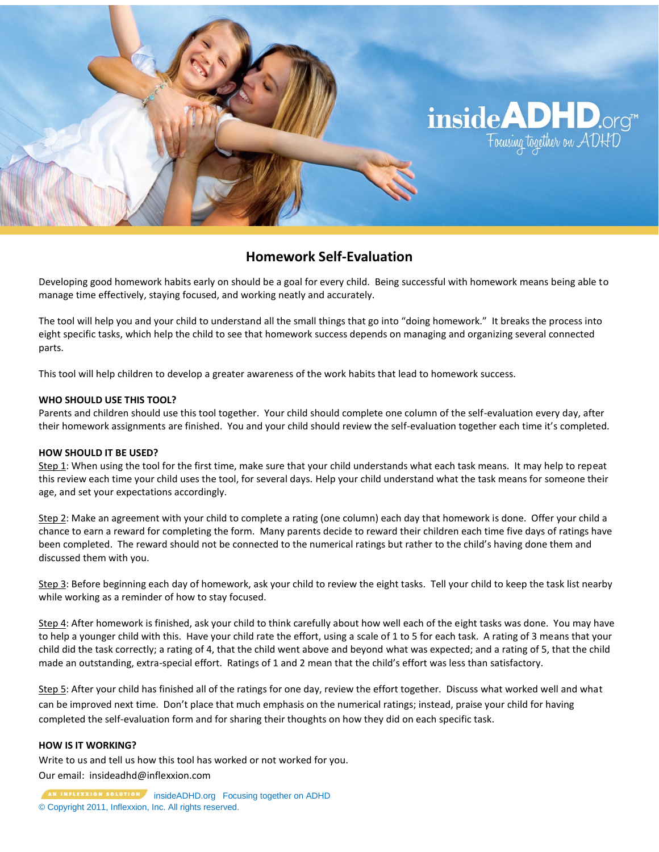

## **Homework Self-Evaluation**

Developing good homework habits early on should be a goal for every child. Being successful with homework means being able to manage time effectively, staying focused, and working neatly and accurately.

The tool will help you and your child to understand all the small things that go into "doing homework." It breaks the process into eight specific tasks, which help the child to see that homework success depends on managing and organizing several connected parts.

This tool will help children to develop a greater awareness of the work habits that lead to homework success.

### **WHO SHOULD USE THIS TOOL?**

Parents and children should use this tool together. Your child should complete one column of the self-evaluation every day, after their homework assignments are finished. You and your child should review the self-evaluation together each time it's completed.

#### **HOW SHOULD IT BE USED?**

Step 1: When using the tool for the first time, make sure that your child understands what each task means. It may help to repeat this review each time your child uses the tool, for several days. Help your child understand what the task means for someone their age, and set your expectations accordingly.

Step 2: Make an agreement with your child to complete a rating (one column) each day that homework is done. Offer your child a chance to earn a reward for completing the form. Many parents decide to reward their children each time five days of ratings have been completed. The reward should not be connected to the numerical ratings but rather to the child's having done them and discussed them with you.

Step 3: Before beginning each day of homework, ask your child to review the eight tasks. Tell your child to keep the task list nearby while working as a reminder of how to stay focused.

Step 4: After homework is finished, ask your child to think carefully about how well each of the eight tasks was done. You may have to help a younger child with this. Have your child rate the effort, using a scale of 1 to 5 for each task. A rating of 3 means that your child did the task correctly; a rating of 4, that the child went above and beyond what was expected; and a rating of 5, that the child made an outstanding, extra-special effort. Ratings of 1 and 2 mean that the child's effort was less than satisfactory.

Step 5: After your child has finished all of the ratings for one day, review the effort together. Discuss what worked well and what can be improved next time. Don't place that much emphasis on the numerical ratings; instead, praise your child for having completed the self-evaluation form and for sharing their thoughts on how they did on each specific task.

#### **HOW IS IT WORKING?**

Write to us and tell us how this tool has worked or not worked for you.

Our email: insideadhd@inflexxion.com

**AN INTERXION SOLUTION** insideADHD.org Focusing together on ADHD © Copyright 2011, Inflexxion, Inc. All rights reserved.